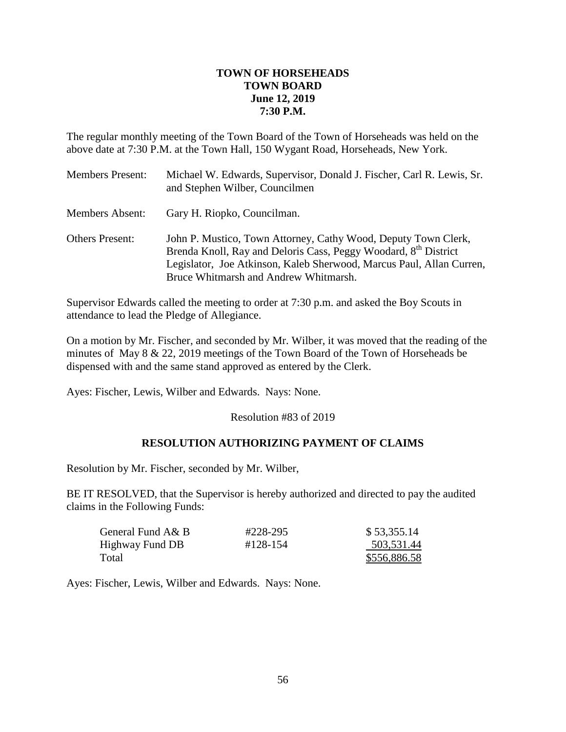## **TOWN OF HORSEHEADS TOWN BOARD June 12, 2019 7:30 P.M.**

The regular monthly meeting of the Town Board of the Town of Horseheads was held on the above date at 7:30 P.M. at the Town Hall, 150 Wygant Road, Horseheads, New York.

| <b>Members Present:</b> | Michael W. Edwards, Supervisor, Donald J. Fischer, Carl R. Lewis, Sr.<br>and Stephen Wilber, Councilmen                                                                                                                                                        |
|-------------------------|----------------------------------------------------------------------------------------------------------------------------------------------------------------------------------------------------------------------------------------------------------------|
| <b>Members Absent:</b>  | Gary H. Riopko, Councilman.                                                                                                                                                                                                                                    |
| <b>Others Present:</b>  | John P. Mustico, Town Attorney, Cathy Wood, Deputy Town Clerk,<br>Brenda Knoll, Ray and Deloris Cass, Peggy Woodard, 8 <sup>th</sup> District<br>Legislator, Joe Atkinson, Kaleb Sherwood, Marcus Paul, Allan Curren,<br>Bruce Whitmarsh and Andrew Whitmarsh. |

Supervisor Edwards called the meeting to order at 7:30 p.m. and asked the Boy Scouts in attendance to lead the Pledge of Allegiance.

On a motion by Mr. Fischer, and seconded by Mr. Wilber, it was moved that the reading of the minutes of May 8 & 22, 2019 meetings of the Town Board of the Town of Horseheads be dispensed with and the same stand approved as entered by the Clerk.

Ayes: Fischer, Lewis, Wilber and Edwards. Nays: None.

Resolution #83 of 2019

# **RESOLUTION AUTHORIZING PAYMENT OF CLAIMS**

Resolution by Mr. Fischer, seconded by Mr. Wilber,

BE IT RESOLVED, that the Supervisor is hereby authorized and directed to pay the audited claims in the Following Funds:

| General Fund A& B | #228-295 | \$53,355.14  |
|-------------------|----------|--------------|
| Highway Fund DB   | #128-154 | 503,531.44   |
| Total             |          | \$556,886.58 |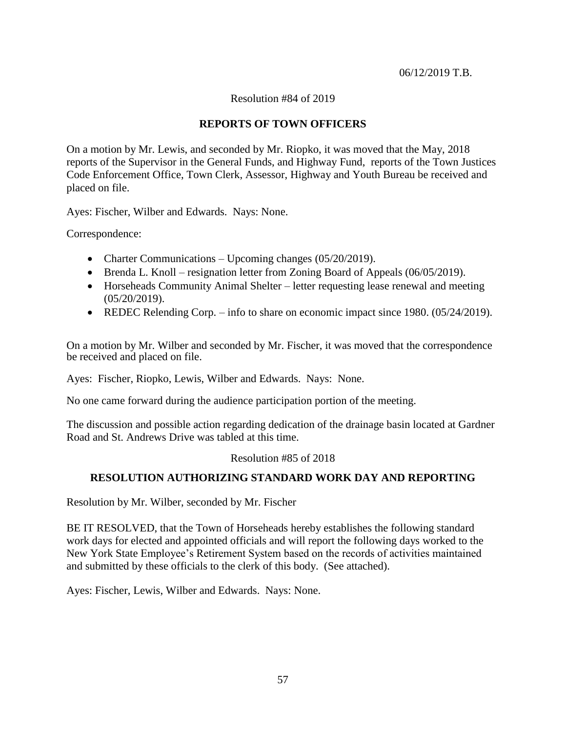Resolution #84 of 2019

## **REPORTS OF TOWN OFFICERS**

On a motion by Mr. Lewis, and seconded by Mr. Riopko, it was moved that the May, 2018 reports of the Supervisor in the General Funds, and Highway Fund, reports of the Town Justices Code Enforcement Office, Town Clerk, Assessor, Highway and Youth Bureau be received and placed on file.

Ayes: Fischer, Wilber and Edwards. Nays: None.

Correspondence:

- Charter Communications Upcoming changes (05/20/2019).
- Brenda L. Knoll resignation letter from Zoning Board of Appeals (06/05/2019).
- Horseheads Community Animal Shelter letter requesting lease renewal and meeting (05/20/2019).
- REDEC Relending Corp. info to share on economic impact since 1980. (05/24/2019).

On a motion by Mr. Wilber and seconded by Mr. Fischer, it was moved that the correspondence be received and placed on file.

Ayes: Fischer, Riopko, Lewis, Wilber and Edwards. Nays: None.

No one came forward during the audience participation portion of the meeting.

The discussion and possible action regarding dedication of the drainage basin located at Gardner Road and St. Andrews Drive was tabled at this time.

### Resolution #85 of 2018

### **RESOLUTION AUTHORIZING STANDARD WORK DAY AND REPORTING**

Resolution by Mr. Wilber, seconded by Mr. Fischer

BE IT RESOLVED, that the Town of Horseheads hereby establishes the following standard work days for elected and appointed officials and will report the following days worked to the New York State Employee's Retirement System based on the records of activities maintained and submitted by these officials to the clerk of this body. (See attached).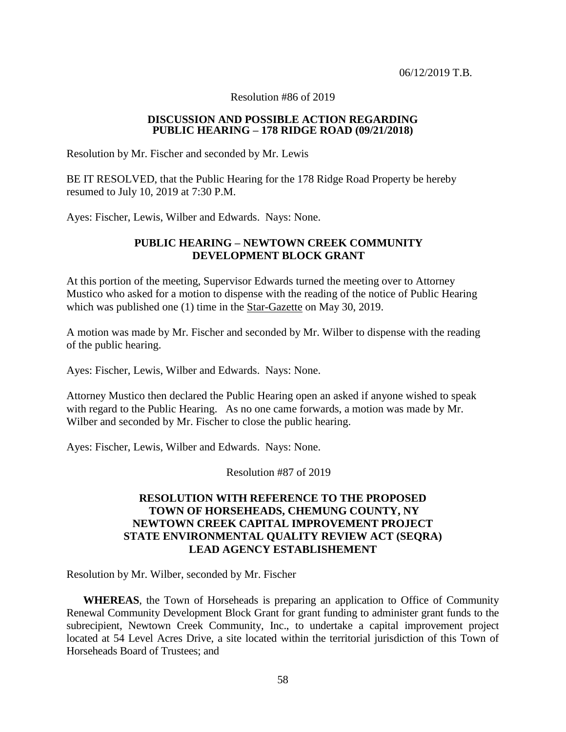Resolution #86 of 2019

#### **DISCUSSION AND POSSIBLE ACTION REGARDING PUBLIC HEARING – 178 RIDGE ROAD (09/21/2018)**

Resolution by Mr. Fischer and seconded by Mr. Lewis

BE IT RESOLVED, that the Public Hearing for the 178 Ridge Road Property be hereby resumed to July 10, 2019 at 7:30 P.M.

Ayes: Fischer, Lewis, Wilber and Edwards. Nays: None.

### **PUBLIC HEARING – NEWTOWN CREEK COMMUNITY DEVELOPMENT BLOCK GRANT**

At this portion of the meeting, Supervisor Edwards turned the meeting over to Attorney Mustico who asked for a motion to dispense with the reading of the notice of Public Hearing which was published one (1) time in the Star-Gazette on May 30, 2019.

A motion was made by Mr. Fischer and seconded by Mr. Wilber to dispense with the reading of the public hearing.

Ayes: Fischer, Lewis, Wilber and Edwards. Nays: None.

Attorney Mustico then declared the Public Hearing open an asked if anyone wished to speak with regard to the Public Hearing. As no one came forwards, a motion was made by Mr. Wilber and seconded by Mr. Fischer to close the public hearing.

Ayes: Fischer, Lewis, Wilber and Edwards. Nays: None.

Resolution #87 of 2019

## **RESOLUTION WITH REFERENCE TO THE PROPOSED TOWN OF HORSEHEADS, CHEMUNG COUNTY, NY NEWTOWN CREEK CAPITAL IMPROVEMENT PROJECT STATE ENVIRONMENTAL QUALITY REVIEW ACT (SEQRA) LEAD AGENCY ESTABLISHEMENT**

Resolution by Mr. Wilber, seconded by Mr. Fischer

**WHEREAS**, the Town of Horseheads is preparing an application to Office of Community Renewal Community Development Block Grant for grant funding to administer grant funds to the subrecipient, Newtown Creek Community, Inc., to undertake a capital improvement project located at 54 Level Acres Drive, a site located within the territorial jurisdiction of this Town of Horseheads Board of Trustees; and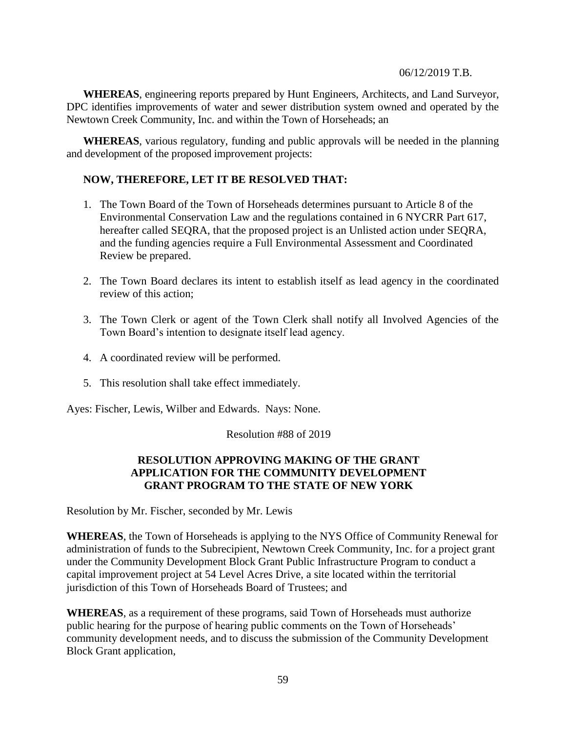**WHEREAS**, engineering reports prepared by Hunt Engineers, Architects, and Land Surveyor, DPC identifies improvements of water and sewer distribution system owned and operated by the Newtown Creek Community, Inc. and within the Town of Horseheads; an

**WHEREAS**, various regulatory, funding and public approvals will be needed in the planning and development of the proposed improvement projects:

## **NOW, THEREFORE, LET IT BE RESOLVED THAT:**

- 1. The Town Board of the Town of Horseheads determines pursuant to Article 8 of the Environmental Conservation Law and the regulations contained in 6 NYCRR Part 617, hereafter called SEQRA, that the proposed project is an Unlisted action under SEQRA, and the funding agencies require a Full Environmental Assessment and Coordinated Review be prepared.
- 2. The Town Board declares its intent to establish itself as lead agency in the coordinated review of this action;
- 3. The Town Clerk or agent of the Town Clerk shall notify all Involved Agencies of the Town Board's intention to designate itself lead agency.
- 4. A coordinated review will be performed.
- 5. This resolution shall take effect immediately.

Ayes: Fischer, Lewis, Wilber and Edwards. Nays: None.

Resolution #88 of 2019

# **RESOLUTION APPROVING MAKING OF THE GRANT APPLICATION FOR THE COMMUNITY DEVELOPMENT GRANT PROGRAM TO THE STATE OF NEW YORK**

Resolution by Mr. Fischer, seconded by Mr. Lewis

**WHEREAS**, the Town of Horseheads is applying to the NYS Office of Community Renewal for administration of funds to the Subrecipient, Newtown Creek Community, Inc. for a project grant under the Community Development Block Grant Public Infrastructure Program to conduct a capital improvement project at 54 Level Acres Drive, a site located within the territorial jurisdiction of this Town of Horseheads Board of Trustees; and

**WHEREAS**, as a requirement of these programs, said Town of Horseheads must authorize public hearing for the purpose of hearing public comments on the Town of Horseheads' community development needs, and to discuss the submission of the Community Development Block Grant application,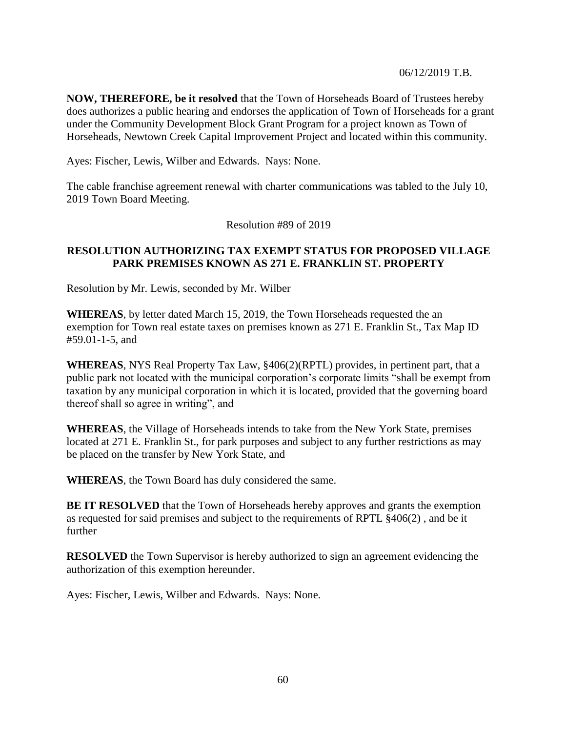**NOW, THEREFORE, be it resolved** that the Town of Horseheads Board of Trustees hereby does authorizes a public hearing and endorses the application of Town of Horseheads for a grant under the Community Development Block Grant Program for a project known as Town of Horseheads, Newtown Creek Capital Improvement Project and located within this community.

Ayes: Fischer, Lewis, Wilber and Edwards. Nays: None.

The cable franchise agreement renewal with charter communications was tabled to the July 10, 2019 Town Board Meeting.

Resolution #89 of 2019

## **RESOLUTION AUTHORIZING TAX EXEMPT STATUS FOR PROPOSED VILLAGE PARK PREMISES KNOWN AS 271 E. FRANKLIN ST. PROPERTY**

Resolution by Mr. Lewis, seconded by Mr. Wilber

**WHEREAS**, by letter dated March 15, 2019, the Town Horseheads requested the an exemption for Town real estate taxes on premises known as 271 E. Franklin St., Tax Map ID #59.01-1-5, and

**WHEREAS**, NYS Real Property Tax Law, §406(2)(RPTL) provides, in pertinent part, that a public park not located with the municipal corporation's corporate limits "shall be exempt from taxation by any municipal corporation in which it is located, provided that the governing board thereof shall so agree in writing", and

**WHEREAS**, the Village of Horseheads intends to take from the New York State, premises located at 271 E. Franklin St., for park purposes and subject to any further restrictions as may be placed on the transfer by New York State, and

**WHEREAS**, the Town Board has duly considered the same.

**BE IT RESOLVED** that the Town of Horseheads hereby approves and grants the exemption as requested for said premises and subject to the requirements of RPTL §406(2) , and be it further

**RESOLVED** the Town Supervisor is hereby authorized to sign an agreement evidencing the authorization of this exemption hereunder.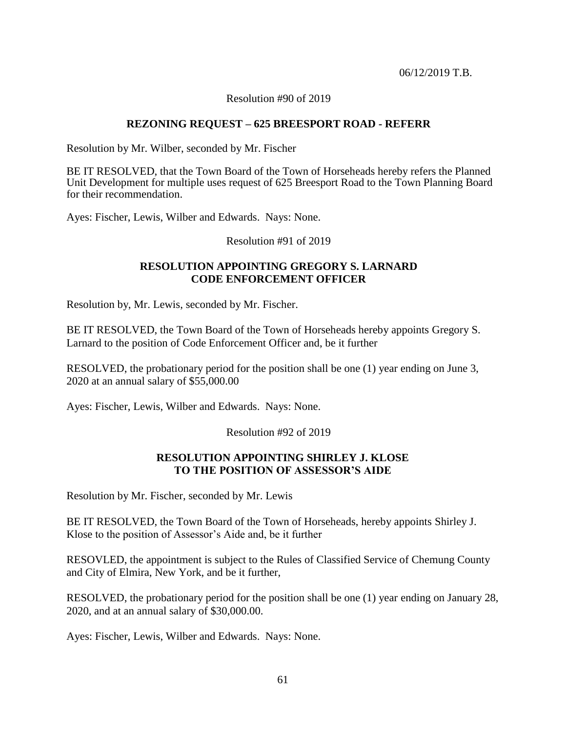Resolution #90 of 2019

## **REZONING REQUEST – 625 BREESPORT ROAD - REFERR**

Resolution by Mr. Wilber, seconded by Mr. Fischer

BE IT RESOLVED, that the Town Board of the Town of Horseheads hereby refers the Planned Unit Development for multiple uses request of 625 Breesport Road to the Town Planning Board for their recommendation.

Ayes: Fischer, Lewis, Wilber and Edwards. Nays: None.

Resolution #91 of 2019

## **RESOLUTION APPOINTING GREGORY S. LARNARD CODE ENFORCEMENT OFFICER**

Resolution by, Mr. Lewis, seconded by Mr. Fischer.

BE IT RESOLVED, the Town Board of the Town of Horseheads hereby appoints Gregory S. Larnard to the position of Code Enforcement Officer and, be it further

RESOLVED, the probationary period for the position shall be one (1) year ending on June 3, 2020 at an annual salary of \$55,000.00

Ayes: Fischer, Lewis, Wilber and Edwards. Nays: None.

Resolution #92 of 2019

### **RESOLUTION APPOINTING SHIRLEY J. KLOSE TO THE POSITION OF ASSESSOR'S AIDE**

Resolution by Mr. Fischer, seconded by Mr. Lewis

BE IT RESOLVED, the Town Board of the Town of Horseheads, hereby appoints Shirley J. Klose to the position of Assessor's Aide and, be it further

RESOVLED, the appointment is subject to the Rules of Classified Service of Chemung County and City of Elmira, New York, and be it further,

RESOLVED, the probationary period for the position shall be one (1) year ending on January 28, 2020, and at an annual salary of \$30,000.00.